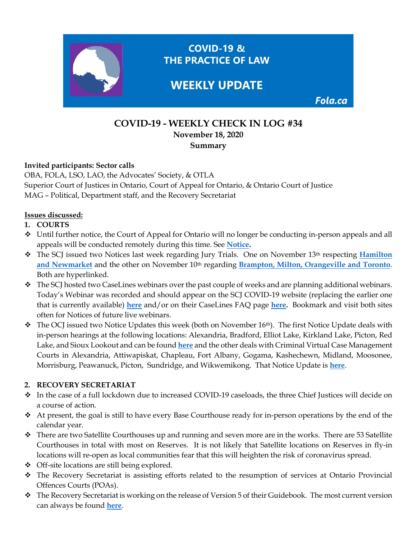

# **COVID-19 - WEEKLY CHECK IN LOG #34 November 18, 2020 Summary**

#### **Invited participants: Sector calls**

OBA, FOLA, LSO, LAO, the Advocates' Society, & OTLA Superior Court of Justices in Ontario, Court of Appeal for Ontario, & Ontario Court of Justice MAG – Political, Department staff, and the Recovery Secretariat

### **Issues discussed:**

- **1. COURTS**
- Until further notice, the Court of Appeal for Ontario will no longer be conducting in-person appeals and all appeals will be conducted remotely during this time. See **[Notice.](https://www.ontariocourts.ca/coa/en/notices/covid-19/notice-in-person-hearings-nov.htm)**
- \* The SCJ issued two Notices last week regarding Jury Trials. One on November 13<sup>th</sup> respecting **Hamilton** [and Newmarket](https://www.ontariocourts.ca/scj/notices-and-orders-covid-19/notice-to-the-profession-and-public-november-13-2020/) and the other on November 10<sup>th</sup> regarding **[Brampton, Milton, Orangeville and Toronto](https://www.ontariocourts.ca/scj/notices-and-orders-covid-19/notice-to-the-profession-and-public-november-10-2020/)**. Both are hyperlinked.
- \* The SCJ hosted two CaseLines webinars over the past couple of weeks and are planning additional webinars. Today's Webinar was recorded and should appear on the SCJ COVID-19 website (replacing the earlier one that is currently available) **[here](https://www.ontariocourts.ca/scj/notices-and-orders-covid-19/)** and/or on their CaseLines FAQ page **[here.](https://www.ontariocourts.ca/scj/notices-and-orders-covid-19/supplementary-notice-september-2-2020/faq-caselines/)** Bookmark and visit both sites often for Notices of future live webinars.
- $\hat{\cdot}$  The OCJ issued two Notice Updates this week (both on November 16<sup>th</sup>). The first Notice Update deals with in-person hearings at the following locations: Alexandria, Bradford, Elliot Lake, Kirkland Lake, Picton, Red Lake, and Sioux Lookout and can be found **[here](https://www.ontariocourts.ca/ocj/covid-19/notice-criminal-november162020/)** and the other deals with Criminal Virtual Case Management Courts in Alexandria, Attiwapiskat, Chapleau, Fort Albany, Gogama, Kashechewn, Midland, Moosonee, Morrisburg, Peawanuck, Picton, Sundridge, and Wikwemikong. That Notice Update is **[here](https://www.ontariocourts.ca/ocj/covid-19/update-criminal-october222020/)**.

### **2. RECOVERY SECRETARIAT**

- In the case of a full lockdown due to increased COVID-19 caseloads, the three Chief Justices will decide on a course of action.
- At present, the goal is still to have every Base Courthouse ready for in-person operations by the end of the calendar year.
- $\div$  There are two Satellite Courthouses up and running and seven more are in the works. There are 53 Satellite Courthouses in total with most on Reserves. It is not likely that Satellite locations on Reserves in fly-in locations will re-open as local communities fear that this will heighten the risk of coronavirus spread.
- Off-site locations are still being explored.
- The Recovery Secretariat is assisting efforts related to the resumption of services at Ontario Provincial Offences Courts (POAs).
- $\bullet$  The Recovery Secretariat is working on the release of Version 5 of their Guidebook. The most current version can always be found **[here](https://www.ontario.ca/page/covid-19-reopening-courtrooms#section-7)**.